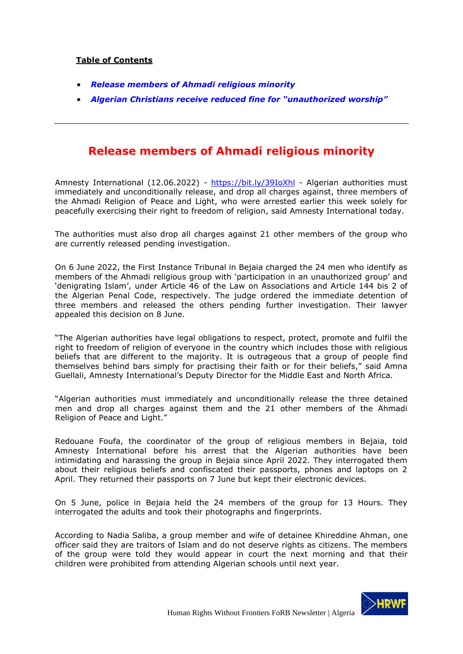## **Table of Contents**

- *Release members of Ahmadi religious minority*
- *Algerian Christians receive reduced fine for "unauthorized worship"*

## **Release members of Ahmadi religious minority**

Amnesty International (12.06.2022) - https://bit.ly/39IoXhl - Algerian authorities must immediately and unconditionally release, and drop all charges against, three members of the Ahmadi Religion of Peace and Light, who were arrested earlier this week solely for peacefully exercising their right to freedom of religion, said Amnesty International today.

The authorities must also drop all charges against 21 other members of the group who are currently released pending investigation.

On 6 June 2022, the First Instance Tribunal in Bejaia charged the 24 men who identify as members of the Ahmadi religious group with 'participation in an unauthorized group' and 'denigrating Islam', under Article 46 of the Law on Associations and Article 144 bis 2 of the Algerian Penal Code, respectively. The judge ordered the immediate detention of three members and released the others pending further investigation. Their lawyer appealed this decision on 8 June.

"The Algerian authorities have legal obligations to respect, protect, promote and fulfil the right to freedom of religion of everyone in the country which includes those with religious beliefs that are different to the majority. It is outrageous that a group of people find themselves behind bars simply for practising their faith or for their beliefs," said Amna Guellali, Amnesty International's Deputy Director for the Middle East and North Africa.

"Algerian authorities must immediately and unconditionally release the three detained men and drop all charges against them and the 21 other members of the Ahmadi Religion of Peace and Light."

Redouane Foufa, the coordinator of the group of religious members in Bejaia, told Amnesty International before his arrest that the Algerian authorities have been intimidating and harassing the group in Bejaia since April 2022. They interrogated them about their religious beliefs and confiscated their passports, phones and laptops on 2 April. They returned their passports on 7 June but kept their electronic devices.

On 5 June, police in Bejaia held the 24 members of the group for 13 Hours. They interrogated the adults and took their photographs and fingerprints.

According to Nadia Saliba, a group member and wife of detainee Khireddine Ahman, one officer said they are traitors of Islam and do not deserve rights as citizens. The members of the group were told they would appear in court the next morning and that their children were prohibited from attending Algerian schools until next year.

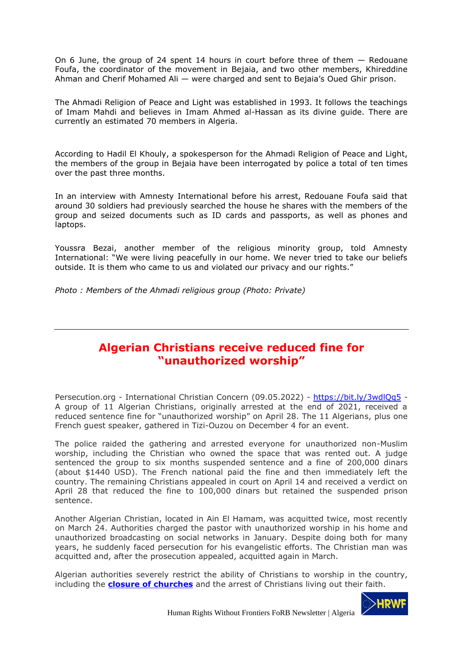On 6 June, the group of 24 spent 14 hours in court before three of them  $-$  Redouane Foufa, the coordinator of the movement in Bejaia, and two other members, Khireddine Ahman and Cherif Mohamed Ali — were charged and sent to Bejaia's Oued Ghir prison.

The Ahmadi Religion of Peace and Light was established in 1993. It follows the teachings of Imam Mahdi and believes in Imam Ahmed al-Hassan as its divine guide. There are currently an estimated 70 members in Algeria.

According to Hadil El Khouly, a spokesperson for the Ahmadi Religion of Peace and Light, the members of the group in Bejaia have been interrogated by police a total of ten times over the past three months.

In an interview with Amnesty International before his arrest, Redouane Foufa said that around 30 soldiers had previously searched the house he shares with the members of the group and seized documents such as ID cards and passports, as well as phones and laptops.

Youssra Bezai, another member of the religious minority group, told Amnesty International: "We were living peacefully in our home. We never tried to take our beliefs outside. It is them who came to us and violated our privacy and our rights."

*Photo : Members of the Ahmadi religious group (Photo: Private)*

## **Algerian Christians receive reduced fine for "unauthorized worship"**

Persecution.org - International Christian Concern (09.05.2022) - https://bit.ly/3wdlQq5 - A group of 11 Algerian Christians, originally arrested at the end of 2021, received a reduced sentence fine for "unauthorized worship" on April 28. The 11 Algerians, plus one French guest speaker, gathered in Tizi-Ouzou on December 4 for an event.

The police raided the gathering and arrested everyone for unauthorized non-Muslim worship, including the Christian who owned the space that was rented out. A judge sentenced the group to six months suspended sentence and a fine of 200,000 dinars (about \$1440 USD). The French national paid the fine and then immediately left the country. The remaining Christians appealed in court on April 14 and received a verdict on April 28 that reduced the fine to 100,000 dinars but retained the suspended prison sentence.

Another Algerian Christian, located in Ain El Hamam, was acquitted twice, most recently on March 24. Authorities charged the pastor with unauthorized worship in his home and unauthorized broadcasting on social networks in January. Despite doing both for many years, he suddenly faced persecution for his evangelistic efforts. The Christian man was acquitted and, after the prosecution appealed, acquitted again in March.

Algerian authorities severely restrict the ability of Christians to worship in the country, including the **closure of churches** and the arrest of Christians living out their faith.